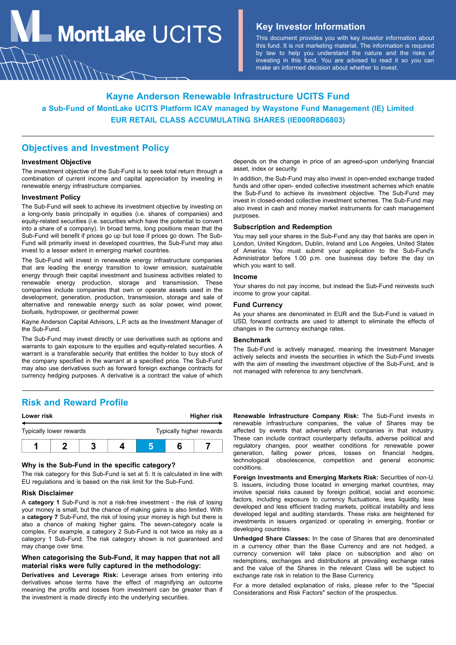**MontLake**  $UCITS$  **Key Investor Information** 

This document provides you with key investor information about this fund. It is not marketing material. The information is required by law to help you understand the nature and the risks of investing in this fund. You are advised to read it so you can make an informed decision about whether to invest.

# **Kayne Anderson Renewable Infrastructure UCITS Fund a Sub-Fund of MontLake UCITS Platform ICAV managed by Waystone Fund Management (IE) Limited EUR RETAIL CLASS ACCUMULATING SHARES (IE000R8D6803)**

# **Objectives and Investment Policy**

### **Investment Objective**

The investment objective of the Sub-Fund is to seek total return through a combination of current income and capital appreciation by investing in renewable energy infrastructure companies.

### **Investment Policy**

The Sub-Fund will seek to achieve its investment objective by investing on a long-only basis principally in equities (i.e. shares of companies) and equity-related securities (i.e. securities which have the potential to convert into a share of a company). In broad terms, long positions mean that the Sub-Fund will benefit if prices go up but lose if prices go down. The Sub-Fund will primarily invest in developed countries, the Sub-Fund may also invest to a lesser extent in emerging market countries.

The Sub-Fund will invest in renewable energy infrastructure companies that are leading the energy transition to lower emission, sustainable energy through their capital investment and business activities related to renewable energy production, storage and transmission. These companies include companies that own or operate assets used in the development, generation, production, transmission, storage and sale of alternative and renewable energy such as solar power, wind power, biofuels, hydropower, or geothermal power.

Kayne Anderson Capital Advisors, L.P. acts as the Investment Manager of the Sub-Fund.

The Sub-Fund may invest directly or use derivatives such as options and warrants to gain exposure to the equities and equity-related securities. A warrant is a transferable security that entitles the holder to buy stock of the company specified in the warrant at a specified price. The Sub-Fund may also use derivatives such as forward foreign exchange contracts for currency hedging purposes. A derivative is a contract the value of which

**Risk and Reward Profile**

| Lower risk              |  |  | Higher risk |                          |  |  |
|-------------------------|--|--|-------------|--------------------------|--|--|
| Typically lower rewards |  |  |             | Typically higher rewards |  |  |
|                         |  |  |             |                          |  |  |

# **Why is the Sub-Fund in the specific category?**

The risk category for this Sub-Fund is set at 5. It is calculated in line with EU regulations and is based on the risk limit for the Sub-Fund.

#### **Risk Disclaimer**

A **category 1** Sub-Fund is not a risk-free investment - the risk of losing your money is small, but the chance of making gains is also limited. With a **category 7** Sub-Fund, the risk of losing your money is high but there is also a chance of making higher gains. The seven-category scale is complex. For example, a category 2 Sub-Fund is not twice as risky as a category 1 Sub-Fund. The risk category shown is not guaranteed and may change over time.

## **When categorising the Sub-Fund, it may happen that not all material risks were fully captured in the methodology:**

**Derivatives and Leverage Risk:** Leverage arises from entering into derivatives whose terms have the effect of magnifying an outcome meaning the profits and losses from investment can be greater than if the investment is made directly into the underlying securities.

depends on the change in price of an agreed-upon underlying financial asset, index or security.

In addition, the Sub-Fund may also invest in open-ended exchange traded funds and other open- ended collective investment schemes which enable the Sub-Fund to achieve its investment objective. The Sub-Fund may invest in closed-ended collective investment schemes. The Sub-Fund may also invest in cash and money market instruments for cash management purposes.

#### **Subscription and Redemption**

You may sell your shares in the Sub-Fund any day that banks are open in London, United Kingdom, Dublin, Ireland and Los Angeles, United States of America. You must submit your application to the Sub-Fund's Administrator before 1.00 p.m. one business day before the day on which you want to sell.

### **Income**

Your shares do not pay income, but instead the Sub-Fund reinvests such income to grow your capital.

### **Fund Currency**

As your shares are denominated in EUR and the Sub-Fund is valued in USD, forward contracts are used to attempt to eliminate the effects of changes in the currency exchange rates.

### **Benchmark**

The Sub-Fund is actively managed, meaning the Investment Manager actively selects and invests the securities in which the Sub-Fund invests with the aim of meeting the investment objective of the Sub-Fund, and is not managed with reference to any benchmark.

**Renewable Infrastructure Company Risk:** The Sub-Fund invests in renewable infrastructure companies, the value of Shares may be affected by events that adversely affect companies in that industry. These can include contract counterparty defaults, adverse political and regulatory changes, poor weather conditions for renewable power generation, falling power prices, losses on financial hedges, technological obsolescence, competition and general economic conditions.

**Foreign Investments and Emerging Markets Risk:** Securities of non-U. S. issuers, including those located in emerging market countries, may involve special risks caused by foreign political, social and economic factors, including exposure to currency fluctuations, less liquidity, less developed and less efficient trading markets, political instability and less developed legal and auditing standards. These risks are heightened for investments in issuers organized or operating in emerging, frontier or developing countries.

**Unhedged Share Classes:** In the case of Shares that are denominated in a currency other than the Base Currency and are not hedged, a currency conversion will take place on subscription and also on redemptions, exchanges and distributions at prevailing exchange rates and the value of the Shares in the relevant Class will be subject to exchange rate risk in relation to the Base Currency.

For a more detailed explanation of risks, please refer to the "Special Considerations and Risk Factors" section of the prospectus.